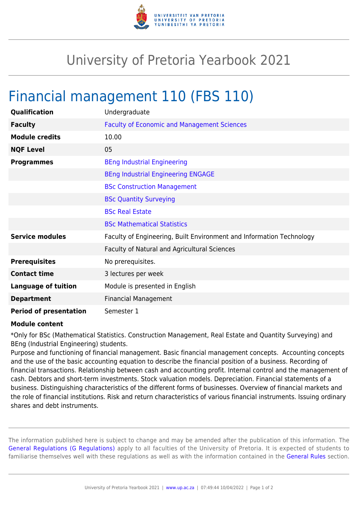

## University of Pretoria Yearbook 2021

## Financial management 110 (FBS 110)

| Qualification                 | Undergraduate                                                        |
|-------------------------------|----------------------------------------------------------------------|
| <b>Faculty</b>                | <b>Faculty of Economic and Management Sciences</b>                   |
| <b>Module credits</b>         | 10.00                                                                |
| <b>NQF Level</b>              | 05                                                                   |
| <b>Programmes</b>             | <b>BEng Industrial Engineering</b>                                   |
|                               | <b>BEng Industrial Engineering ENGAGE</b>                            |
|                               | <b>BSc Construction Management</b>                                   |
|                               | <b>BSc Quantity Surveying</b>                                        |
|                               | <b>BSc Real Estate</b>                                               |
|                               | <b>BSc Mathematical Statistics</b>                                   |
| <b>Service modules</b>        | Faculty of Engineering, Built Environment and Information Technology |
|                               | Faculty of Natural and Agricultural Sciences                         |
| <b>Prerequisites</b>          | No prerequisites.                                                    |
| <b>Contact time</b>           | 3 lectures per week                                                  |
| <b>Language of tuition</b>    | Module is presented in English                                       |
| <b>Department</b>             | <b>Financial Management</b>                                          |
| <b>Period of presentation</b> | Semester 1                                                           |

## **Module content**

\*Only for BSc (Mathematical Statistics. Construction Management, Real Estate and Quantity Surveying) and BEng (Industrial Engineering) students.

Purpose and functioning of financial management. Basic financial management concepts. Accounting concepts and the use of the basic accounting equation to describe the financial position of a business. Recording of financial transactions. Relationship between cash and accounting profit. Internal control and the management of cash. Debtors and short-term investments. Stock valuation models. Depreciation. Financial statements of a business. Distinguishing characteristics of the different forms of businesses. Overview of financial markets and the role of financial institutions. Risk and return characteristics of various financial instruments. Issuing ordinary shares and debt instruments.

The information published here is subject to change and may be amended after the publication of this information. The [General Regulations \(G Regulations\)](https://www.up.ac.za/yearbooks/2021/rules/view/REG) apply to all faculties of the University of Pretoria. It is expected of students to familiarise themselves well with these regulations as well as with the information contained in the [General Rules](https://www.up.ac.za/yearbooks/2021/rules/view/RUL) section.